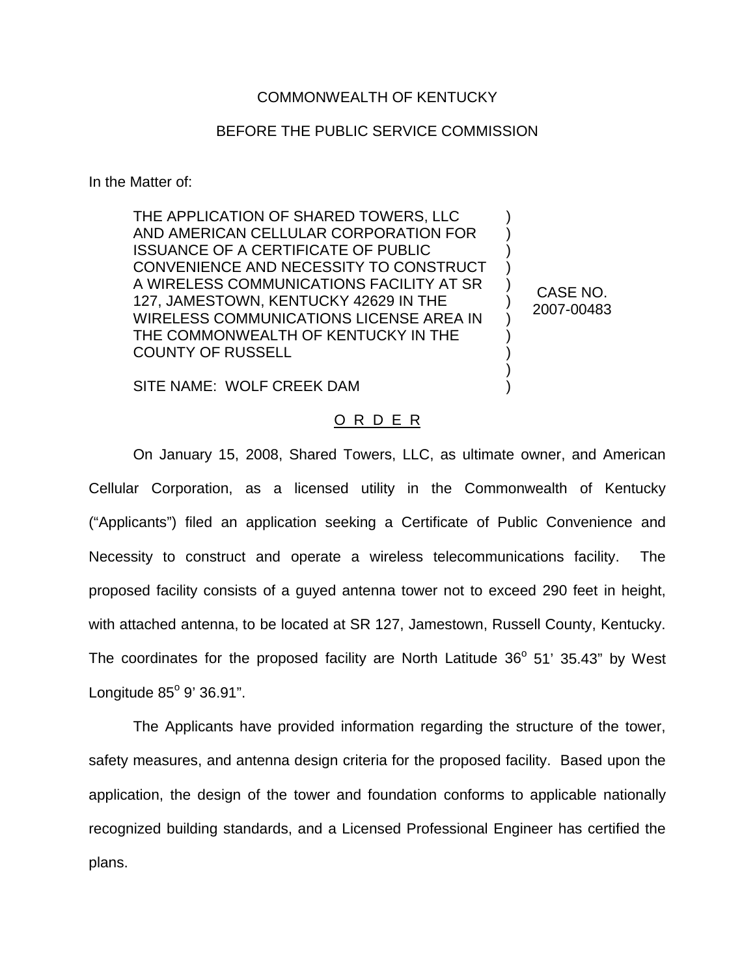## COMMONWEALTH OF KENTUCKY

## BEFORE THE PUBLIC SERVICE COMMISSION

In the Matter of:

THE APPLICATION OF SHARED TOWERS, LLC AND AMERICAN CELLULAR CORPORATION FOR ISSUANCE OF A CERTIFICATE OF PUBLIC CONVENIENCE AND NECESSITY TO CONSTRUCT A WIRELESS COMMUNICATIONS FACILITY AT SR 127, JAMESTOWN, KENTUCKY 42629 IN THE WIRELESS COMMUNICATIONS LICENSE AREA IN THE COMMONWEALTH OF KENTUCKY IN THE COUNTY OF RUSSELL

CASE NO. 2007-00483

) ) ) ) ) ) ) ) ) ) )

SITE NAME: WOLF CREEK DAM

## O R D E R

On January 15, 2008, Shared Towers, LLC, as ultimate owner, and American Cellular Corporation, as a licensed utility in the Commonwealth of Kentucky ("Applicants") filed an application seeking a Certificate of Public Convenience and Necessity to construct and operate a wireless telecommunications facility. The proposed facility consists of a guyed antenna tower not to exceed 290 feet in height, with attached antenna, to be located at SR 127, Jamestown, Russell County, Kentucky. The coordinates for the proposed facility are North Latitude  $36^{\circ}$  51' 35.43" by West Longitude  $85^\circ$  9' 36.91".

The Applicants have provided information regarding the structure of the tower, safety measures, and antenna design criteria for the proposed facility. Based upon the application, the design of the tower and foundation conforms to applicable nationally recognized building standards, and a Licensed Professional Engineer has certified the plans.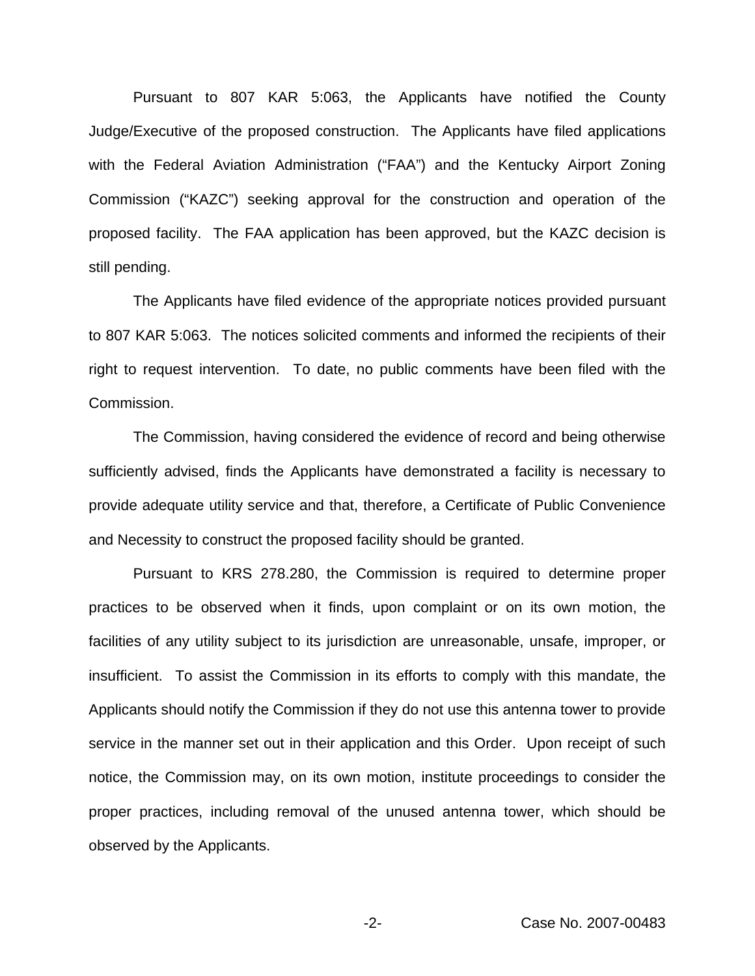Pursuant to 807 KAR 5:063, the Applicants have notified the County Judge/Executive of the proposed construction. The Applicants have filed applications with the Federal Aviation Administration ("FAA") and the Kentucky Airport Zoning Commission ("KAZC") seeking approval for the construction and operation of the proposed facility. The FAA application has been approved, but the KAZC decision is still pending.

The Applicants have filed evidence of the appropriate notices provided pursuant to 807 KAR 5:063. The notices solicited comments and informed the recipients of their right to request intervention. To date, no public comments have been filed with the Commission.

The Commission, having considered the evidence of record and being otherwise sufficiently advised, finds the Applicants have demonstrated a facility is necessary to provide adequate utility service and that, therefore, a Certificate of Public Convenience and Necessity to construct the proposed facility should be granted.

Pursuant to KRS 278.280, the Commission is required to determine proper practices to be observed when it finds, upon complaint or on its own motion, the facilities of any utility subject to its jurisdiction are unreasonable, unsafe, improper, or insufficient. To assist the Commission in its efforts to comply with this mandate, the Applicants should notify the Commission if they do not use this antenna tower to provide service in the manner set out in their application and this Order. Upon receipt of such notice, the Commission may, on its own motion, institute proceedings to consider the proper practices, including removal of the unused antenna tower, which should be observed by the Applicants.